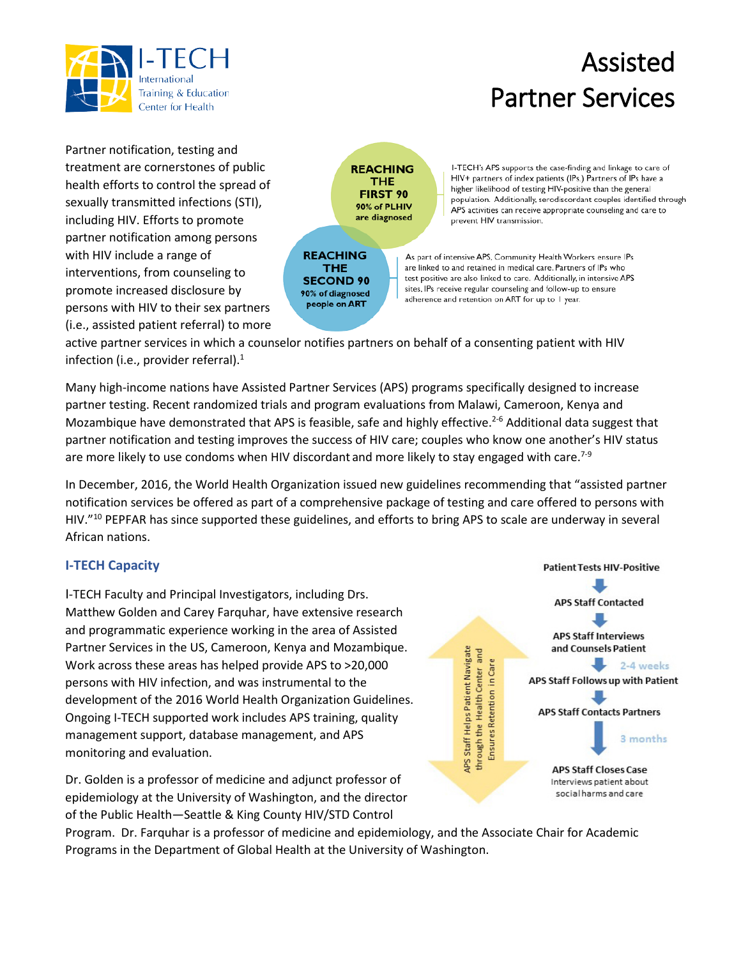

## Partner Services

Partner notification, testing and treatment are cornerstones of public health efforts to control the spread of sexually transmitted infections (STI), including HIV. Efforts to promote partner notification among persons with HIV include a range of interventions, from counseling to promote increased disclosure by persons with HIV to their sex partners (i.e., assisted patient referral) to more

**REACHING THE FIRST 90** 90% of PLHIV are diagnosed

**REACHING** THE **SECOND 90** 90% of diagnosed people on ART

I-TECH's APS supports the case-finding and linkage to care of HIV+ partners of index patients (IPs.) Partners of IPs have a higher likelihood of testing HIV-positive than the general population. Additionally, serodiscordant couples identified through APS activities can receive appropriate counseling and care to prevent HIV transmission.

Assisted

As part of intensive APS, Community Health Workers ensure IPs are linked to and retained in medical care. Partners of IPs who test positive are also linked to care. Additionally, in intensive APS sites, IPs receive regular counseling and follow-up to ensure adherence and retention on ART for up to I year.

active partner services in which a counselor notifies partners on behalf of a consenting patient with HIV infection (i.e., provider referral). $<sup>1</sup>$ </sup>

Many high-income nations have Assisted Partner Services (APS) programs specifically designed to increase partner testing. Recent randomized trials and program evaluations from Malawi, Cameroon, Kenya and Mozambique have demonstrated that APS is feasible, safe and highly effective.<sup>2-6</sup> Additional data suggest that partner notification and testing improves the success of HIV care; couples who know one another's HIV status are more likely to use condoms when HIV discordant and more likely to stay engaged with care.<sup>7-9</sup>

In December, 2016, the World Health Organization issued new guidelines recommending that "assisted partner notification services be offered as part of a comprehensive package of testing and care offered to persons with HIV."10 PEPFAR has since supported these guidelines, and efforts to bring APS to scale are underway in several African nations.

## **I-TECH Capacity**

I-TECH Faculty and Principal Investigators, including Drs. Matthew Golden and Carey Farquhar, have extensive research and programmatic experience working in the area of Assisted Partner Services in the US, Cameroon, Kenya and Mozambique. Work across these areas has helped provide APS to >20,000 persons with HIV infection, and was instrumental to the development of the 2016 World Health Organization Guidelines. Ongoing I-TECH supported work includes APS training, quality management support, database management, and APS monitoring and evaluation.

Dr. Golden is a professor of medicine and adjunct professor of epidemiology at the University of Washington, and the director of the Public Health—Seattle & King County HIV/STD Control



Program. Dr. Farquhar is a professor of medicine and epidemiology, and the Associate Chair for Academic Programs in the Department of Global Health at the University of Washington.